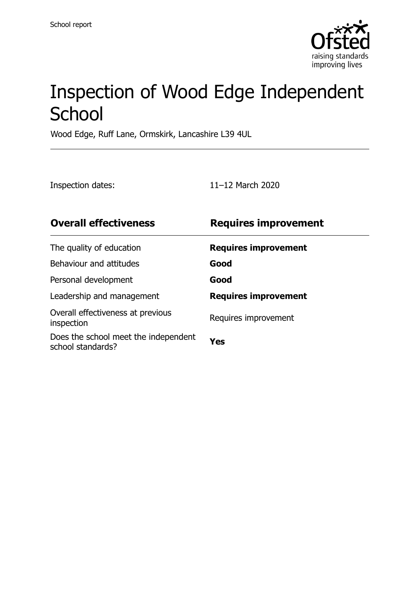

# Inspection of Wood Edge Independent **School**

Wood Edge, Ruff Lane, Ormskirk, Lancashire L39 4UL

Inspection dates: 11–12 March 2020

| <b>Overall effectiveness</b>                              | <b>Requires improvement</b> |
|-----------------------------------------------------------|-----------------------------|
| The quality of education                                  | <b>Requires improvement</b> |
| Behaviour and attitudes                                   | Good                        |
| Personal development                                      | Good                        |
| Leadership and management                                 | <b>Requires improvement</b> |
| Overall effectiveness at previous<br>inspection           | Requires improvement        |
| Does the school meet the independent<br>school standards? | Yes                         |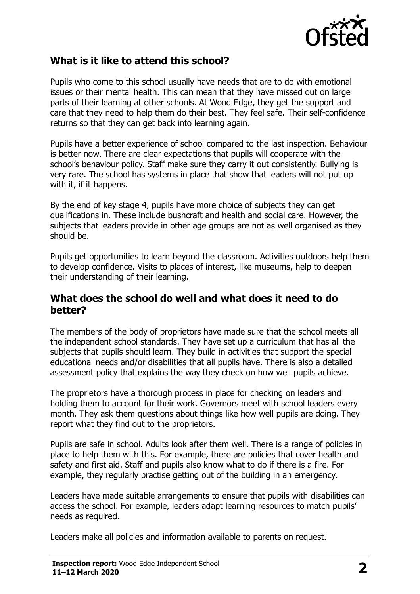

### **What is it like to attend this school?**

Pupils who come to this school usually have needs that are to do with emotional issues or their mental health. This can mean that they have missed out on large parts of their learning at other schools. At Wood Edge, they get the support and care that they need to help them do their best. They feel safe. Their self-confidence returns so that they can get back into learning again.

Pupils have a better experience of school compared to the last inspection. Behaviour is better now. There are clear expectations that pupils will cooperate with the school's behaviour policy. Staff make sure they carry it out consistently. Bullying is very rare. The school has systems in place that show that leaders will not put up with it, if it happens.

By the end of key stage 4, pupils have more choice of subjects they can get qualifications in. These include bushcraft and health and social care. However, the subjects that leaders provide in other age groups are not as well organised as they should be.

Pupils get opportunities to learn beyond the classroom. Activities outdoors help them to develop confidence. Visits to places of interest, like museums, help to deepen their understanding of their learning.

#### **What does the school do well and what does it need to do better?**

The members of the body of proprietors have made sure that the school meets all the independent school standards. They have set up a curriculum that has all the subjects that pupils should learn. They build in activities that support the special educational needs and/or disabilities that all pupils have. There is also a detailed assessment policy that explains the way they check on how well pupils achieve.

The proprietors have a thorough process in place for checking on leaders and holding them to account for their work. Governors meet with school leaders every month. They ask them questions about things like how well pupils are doing. They report what they find out to the proprietors.

Pupils are safe in school. Adults look after them well. There is a range of policies in place to help them with this. For example, there are policies that cover health and safety and first aid. Staff and pupils also know what to do if there is a fire. For example, they regularly practise getting out of the building in an emergency.

Leaders have made suitable arrangements to ensure that pupils with disabilities can access the school. For example, leaders adapt learning resources to match pupils' needs as required.

Leaders make all policies and information available to parents on request.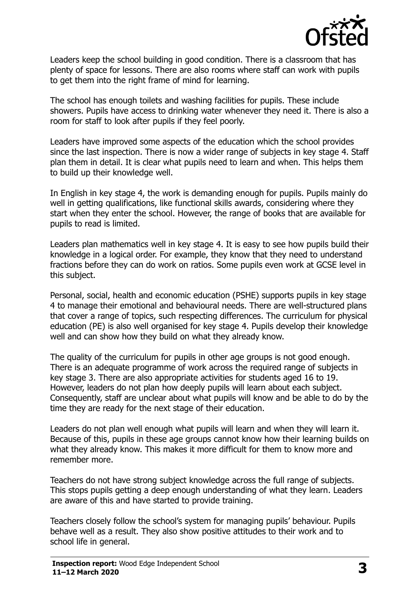

Leaders keep the school building in good condition. There is a classroom that has plenty of space for lessons. There are also rooms where staff can work with pupils to get them into the right frame of mind for learning.

The school has enough toilets and washing facilities for pupils. These include showers. Pupils have access to drinking water whenever they need it. There is also a room for staff to look after pupils if they feel poorly.

Leaders have improved some aspects of the education which the school provides since the last inspection. There is now a wider range of subjects in key stage 4. Staff plan them in detail. It is clear what pupils need to learn and when. This helps them to build up their knowledge well.

In English in key stage 4, the work is demanding enough for pupils. Pupils mainly do well in getting qualifications, like functional skills awards, considering where they start when they enter the school. However, the range of books that are available for pupils to read is limited.

Leaders plan mathematics well in key stage 4. It is easy to see how pupils build their knowledge in a logical order. For example, they know that they need to understand fractions before they can do work on ratios. Some pupils even work at GCSE level in this subject.

Personal, social, health and economic education (PSHE) supports pupils in key stage 4 to manage their emotional and behavioural needs. There are well-structured plans that cover a range of topics, such respecting differences. The curriculum for physical education (PE) is also well organised for key stage 4. Pupils develop their knowledge well and can show how they build on what they already know.

The quality of the curriculum for pupils in other age groups is not good enough. There is an adequate programme of work across the required range of subjects in key stage 3. There are also appropriate activities for students aged 16 to 19. However, leaders do not plan how deeply pupils will learn about each subject. Consequently, staff are unclear about what pupils will know and be able to do by the time they are ready for the next stage of their education.

Leaders do not plan well enough what pupils will learn and when they will learn it. Because of this, pupils in these age groups cannot know how their learning builds on what they already know. This makes it more difficult for them to know more and remember more.

Teachers do not have strong subject knowledge across the full range of subjects. This stops pupils getting a deep enough understanding of what they learn. Leaders are aware of this and have started to provide training.

Teachers closely follow the school's system for managing pupils' behaviour. Pupils behave well as a result. They also show positive attitudes to their work and to school life in general.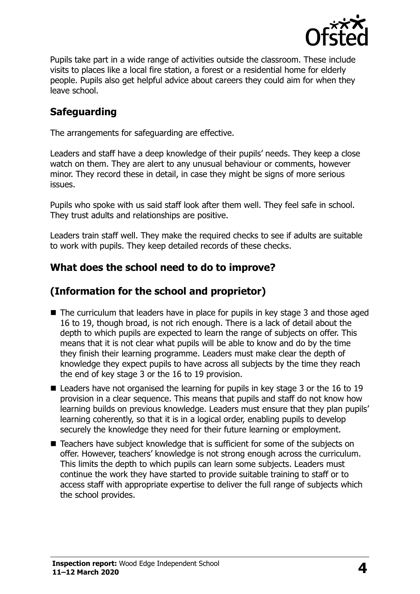

Pupils take part in a wide range of activities outside the classroom. These include visits to places like a local fire station, a forest or a residential home for elderly people. Pupils also get helpful advice about careers they could aim for when they leave school.

# **Safeguarding**

The arrangements for safeguarding are effective.

Leaders and staff have a deep knowledge of their pupils' needs. They keep a close watch on them. They are alert to any unusual behaviour or comments, however minor. They record these in detail, in case they might be signs of more serious issues.

Pupils who spoke with us said staff look after them well. They feel safe in school. They trust adults and relationships are positive.

Leaders train staff well. They make the required checks to see if adults are suitable to work with pupils. They keep detailed records of these checks.

#### **What does the school need to do to improve?**

# **(Information for the school and proprietor)**

- The curriculum that leaders have in place for pupils in key stage 3 and those aged 16 to 19, though broad, is not rich enough. There is a lack of detail about the depth to which pupils are expected to learn the range of subjects on offer. This means that it is not clear what pupils will be able to know and do by the time they finish their learning programme. Leaders must make clear the depth of knowledge they expect pupils to have across all subjects by the time they reach the end of key stage 3 or the 16 to 19 provision.
- $\blacksquare$  Leaders have not organised the learning for pupils in key stage 3 or the 16 to 19 provision in a clear sequence. This means that pupils and staff do not know how learning builds on previous knowledge. Leaders must ensure that they plan pupils' learning coherently, so that it is in a logical order, enabling pupils to develop securely the knowledge they need for their future learning or employment.
- Teachers have subject knowledge that is sufficient for some of the subjects on offer. However, teachers' knowledge is not strong enough across the curriculum. This limits the depth to which pupils can learn some subjects. Leaders must continue the work they have started to provide suitable training to staff or to access staff with appropriate expertise to deliver the full range of subjects which the school provides.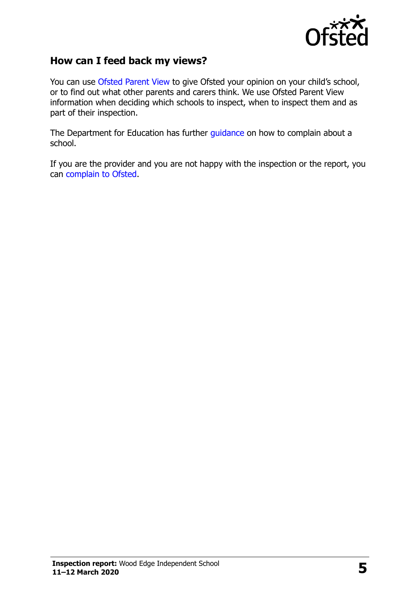

### **How can I feed back my views?**

You can use [Ofsted Parent View](http://parentview.ofsted.gov.uk/) to give Ofsted your opinion on your child's school, or to find out what other parents and carers think. We use Ofsted Parent View information when deciding which schools to inspect, when to inspect them and as part of their inspection.

The Department for Education has further [guidance](http://www.gov.uk/complain-about-school) on how to complain about a school.

If you are the provider and you are not happy with the inspection or the report, you can [complain to Ofsted.](http://www.gov.uk/complain-ofsted-report)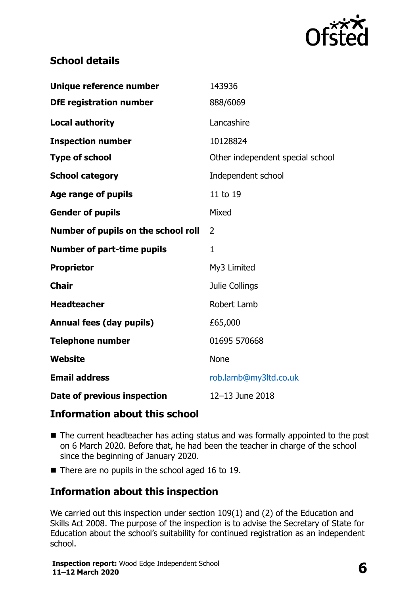

# **School details**

| Unique reference number             | 143936                           |  |
|-------------------------------------|----------------------------------|--|
| <b>DfE</b> registration number      | 888/6069                         |  |
| <b>Local authority</b>              | Lancashire                       |  |
| <b>Inspection number</b>            | 10128824                         |  |
| <b>Type of school</b>               | Other independent special school |  |
| <b>School category</b>              | Independent school               |  |
| <b>Age range of pupils</b>          | 11 to 19                         |  |
| <b>Gender of pupils</b>             | Mixed                            |  |
| Number of pupils on the school roll | 2                                |  |
|                                     |                                  |  |
| <b>Number of part-time pupils</b>   | 1                                |  |
| <b>Proprietor</b>                   | My3 Limited                      |  |
| <b>Chair</b>                        | Julie Collings                   |  |
| <b>Headteacher</b>                  | Robert Lamb                      |  |
| <b>Annual fees (day pupils)</b>     | £65,000                          |  |
| <b>Telephone number</b>             | 01695 570668                     |  |
| <b>Website</b>                      | <b>None</b>                      |  |
| <b>Email address</b>                | rob.lamb@my3ltd.co.uk            |  |

#### **Information about this school**

- The current headteacher has acting status and was formally appointed to the post on 6 March 2020. Before that, he had been the teacher in charge of the school since the beginning of January 2020.
- $\blacksquare$  There are no pupils in the school aged 16 to 19.

# **Information about this inspection**

We carried out this inspection under section 109(1) and (2) of the Education and Skills Act 2008. The purpose of the inspection is to advise the Secretary of State for Education about the school's suitability for continued registration as an independent school.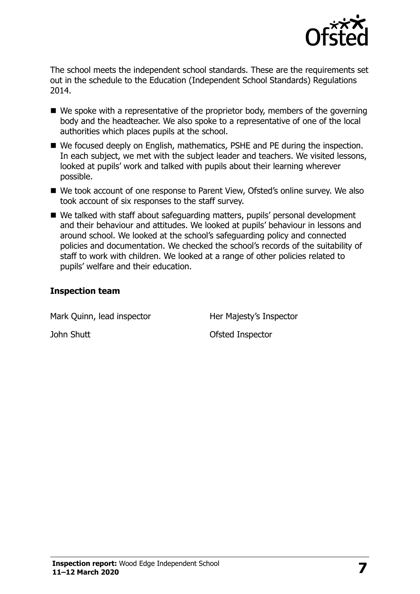

The school meets the independent school standards. These are the requirements set out in the schedule to the Education (Independent School Standards) Regulations 2014.

- We spoke with a representative of the proprietor body, members of the governing body and the headteacher. We also spoke to a representative of one of the local authorities which places pupils at the school.
- We focused deeply on English, mathematics, PSHE and PE during the inspection. In each subject, we met with the subject leader and teachers. We visited lessons, looked at pupils' work and talked with pupils about their learning wherever possible.
- We took account of one response to Parent View, Ofsted's online survey. We also took account of six responses to the staff survey.
- We talked with staff about safeguarding matters, pupils' personal development and their behaviour and attitudes. We looked at pupils' behaviour in lessons and around school. We looked at the school's safeguarding policy and connected policies and documentation. We checked the school's records of the suitability of staff to work with children. We looked at a range of other policies related to pupils' welfare and their education.

#### **Inspection team**

| Mark Quinn, lead inspector | Her Majesty's Inspector |
|----------------------------|-------------------------|
| John Shutt                 | Ofsted Inspector        |